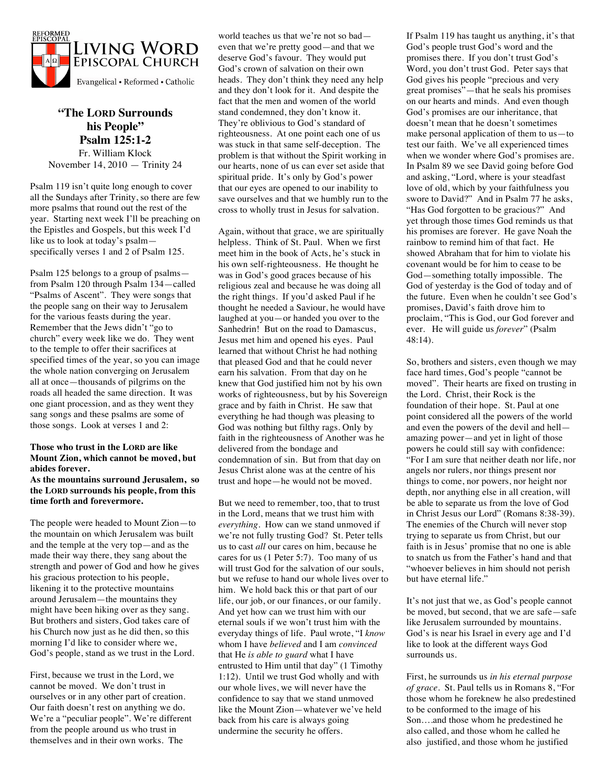

# **"The LORD Surrounds his People" Psalm 125:1-2** Fr. William Klock November 14, 2010 — Trinity 24

Psalm 119 isn't quite long enough to cover all the Sundays after Trinity, so there are few more psalms that round out the rest of the year. Starting next week I'll be preaching on the Epistles and Gospels, but this week I'd like us to look at today's psalm specifically verses 1 and 2 of Psalm 125.

Psalm 125 belongs to a group of psalms from Psalm 120 through Psalm 134—called "Psalms of Ascent". They were songs that the people sang on their way to Jerusalem for the various feasts during the year. Remember that the Jews didn't "go to church" every week like we do. They went to the temple to offer their sacrifices at specified times of the year, so you can image the whole nation converging on Jerusalem all at once—thousands of pilgrims on the roads all headed the same direction. It was one giant procession, and as they went they sang songs and these psalms are some of those songs. Look at verses 1 and 2:

### **Those who trust in the LORD are like Mount Zion, which cannot be moved, but abides forever.**

### **As the mountains surround Jerusalem, so the LORD surrounds his people, from this time forth and forevermore.**

The people were headed to Mount Zion—to the mountain on which Jerusalem was built and the temple at the very top—and as the made their way there, they sang about the strength and power of God and how he gives his gracious protection to his people, likening it to the protective mountains around Jerusalem—the mountains they might have been hiking over as they sang. But brothers and sisters, God takes care of his Church now just as he did then, so this morning I'd like to consider where we, God's people, stand as we trust in the Lord.

First, because we trust in the Lord, we cannot be moved. We don't trust in ourselves or in any other part of creation. Our faith doesn't rest on anything we do. We're a "peculiar people". We're different from the people around us who trust in themselves and in their own works. The

world teaches us that we're not so bad even that we're pretty good—and that we deserve God's favour. They would put God's crown of salvation on their own heads. They don't think they need any help and they don't look for it. And despite the fact that the men and women of the world stand condemned, they don't know it. They're oblivious to God's standard of righteousness. At one point each one of us was stuck in that same self-deception. The problem is that without the Spirit working in our hearts, none of us can ever set aside that spiritual pride. It's only by God's power that our eyes are opened to our inability to save ourselves and that we humbly run to the cross to wholly trust in Jesus for salvation.

Again, without that grace, we are spiritually helpless. Think of St. Paul. When we first meet him in the book of Acts, he's stuck in his own self-righteousness. He thought he was in God's good graces because of his religious zeal and because he was doing all the right things. If you'd asked Paul if he thought he needed a Saviour, he would have laughed at you—or handed you over to the Sanhedrin! But on the road to Damascus, Jesus met him and opened his eyes. Paul learned that without Christ he had nothing that pleased God and that he could never earn his salvation. From that day on he knew that God justified him not by his own works of righteousness, but by his Sovereign grace and by faith in Christ. He saw that everything he had though was pleasing to God was nothing but filthy rags. Only by faith in the righteousness of Another was he delivered from the bondage and condemnation of sin. But from that day on Jesus Christ alone was at the centre of his trust and hope—he would not be moved.

But we need to remember, too, that to trust in the Lord, means that we trust him with *everything*. How can we stand unmoved if we're not fully trusting God? St. Peter tells us to cast *all* our cares on him, because he cares for us (1 Peter 5:7). Too many of us will trust God for the salvation of our souls, but we refuse to hand our whole lives over to him. We hold back this or that part of our life, our job, or our finances, or our family. And yet how can we trust him with our eternal souls if we won't trust him with the everyday things of life. Paul wrote, "I *know* whom I have *believed* and I am *convinced* that He *is able to guard* what I have entrusted to Him until that day" (1 Timothy 1:12). Until we trust God wholly and with our whole lives, we will never have the confidence to say that we stand unmoved like the Mount Zion—whatever we've held back from his care is always going undermine the security he offers.

If Psalm 119 has taught us anything, it's that God's people trust God's word and the promises there. If you don't trust God's Word, you don't trust God. Peter says that God gives his people "precious and very great promises"—that he seals his promises on our hearts and minds. And even though God's promises are our inheritance, that doesn't mean that he doesn't sometimes make personal application of them to us—to test our faith. We've all experienced times when we wonder where God's promises are. In Psalm 89 we see David going before God and asking, "Lord, where is your steadfast love of old, which by your faithfulness you swore to David?" And in Psalm 77 he asks, "Has God forgotten to be gracious?" And yet through those times God reminds us that his promises are forever. He gave Noah the rainbow to remind him of that fact. He showed Abraham that for him to violate his covenant would be for him to cease to be God—something totally impossible. The God of yesterday is the God of today and of the future. Even when he couldn't see God's promises, David's faith drove him to proclaim, "This is God, our God forever and ever. He will guide us *forever*" (Psalm 48:14).

So, brothers and sisters, even though we may face hard times, God's people "cannot be moved". Their hearts are fixed on trusting in the Lord. Christ, their Rock is the foundation of their hope. St. Paul at one point considered all the powers of the world and even the powers of the devil and hell amazing power—and yet in light of those powers he could still say with confidence: "For I am sure that neither death nor life, nor angels nor rulers, nor things present nor things to come, nor powers, nor height nor depth, nor anything else in all creation, will be able to separate us from the love of God in Christ Jesus our Lord" (Romans 8:38-39). The enemies of the Church will never stop trying to separate us from Christ, but our faith is in Jesus' promise that no one is able to snatch us from the Father's hand and that "whoever believes in him should not perish but have eternal life."

It's not just that we, as God's people cannot be moved, but second, that we are safe—safe like Jerusalem surrounded by mountains. God's is near his Israel in every age and I'd like to look at the different ways God surrounds us.

First, he surrounds us *in his eternal purpose of grace*. St. Paul tells us in Romans 8, "For those whom he foreknew he also predestined to be conformed to the image of his Son….and those whom he predestined he also called, and those whom he called he also justified, and those whom he justified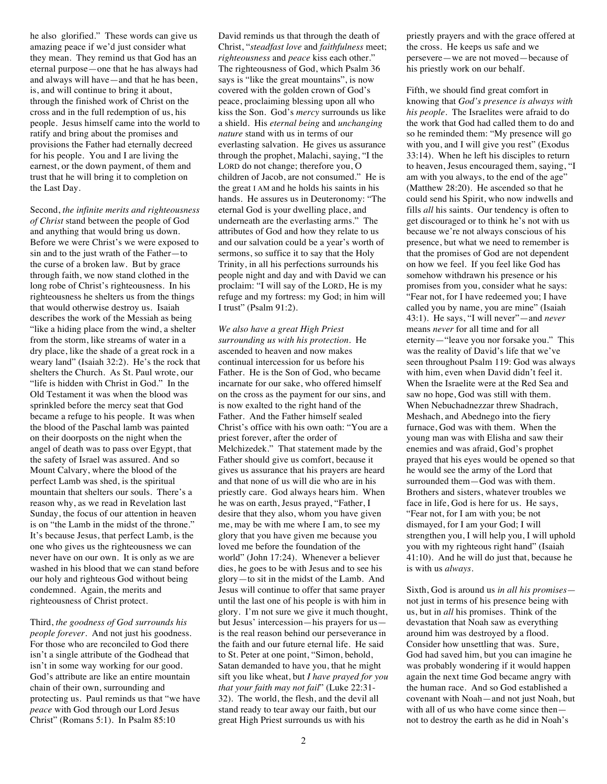he also glorified." These words can give us amazing peace if we'd just consider what they mean. They remind us that God has an eternal purpose—one that he has always had and always will have—and that he has been, is, and will continue to bring it about, through the finished work of Christ on the cross and in the full redemption of us, his people. Jesus himself came into the world to ratify and bring about the promises and provisions the Father had eternally decreed for his people. You and I are living the earnest, or the down payment, of them and trust that he will bring it to completion on the Last Day.

Second, *the infinite merits and righteousness of Christ* stand between the people of God and anything that would bring us down. Before we were Christ's we were exposed to sin and to the just wrath of the Father—to the curse of a broken law. But by grace through faith, we now stand clothed in the long robe of Christ's righteousness. In his righteousness he shelters us from the things that would otherwise destroy us. Isaiah describes the work of the Messiah as being "like a hiding place from the wind, a shelter from the storm, like streams of water in a dry place, like the shade of a great rock in a weary land" (Isaiah 32:2). He's the rock that shelters the Church. As St. Paul wrote, our "life is hidden with Christ in God." In the Old Testament it was when the blood was sprinkled before the mercy seat that God became a refuge to his people. It was when the blood of the Paschal lamb was painted on their doorposts on the night when the angel of death was to pass over Egypt, that the safety of Israel was assured. And so Mount Calvary, where the blood of the perfect Lamb was shed, is the spiritual mountain that shelters our souls. There's a reason why, as we read in Revelation last Sunday, the focus of our attention in heaven is on "the Lamb in the midst of the throne." It's because Jesus, that perfect Lamb, is the one who gives us the righteousness we can never have on our own. It is only as we are washed in his blood that we can stand before our holy and righteous God without being condemned. Again, the merits and righteousness of Christ protect.

Third, *the goodness of God surrounds his people forever*. And not just his goodness. For those who are reconciled to God there isn't a single attribute of the Godhead that isn't in some way working for our good. God's attribute are like an entire mountain chain of their own, surrounding and protecting us. Paul reminds us that "we have *peace* with God through our Lord Jesus Christ" (Romans 5:1). In Psalm 85:10

David reminds us that through the death of Christ, "*steadfast love* and *faithfulness* meet; *righteousness* and *peace* kiss each other." The righteousness of God, which Psalm 36 says is "like the great mountains", is now covered with the golden crown of God's peace, proclaiming blessing upon all who kiss the Son. God's *mercy* surrounds us like a shield. His *eternal being* and *unchanging nature* stand with us in terms of our everlasting salvation. He gives us assurance through the prophet, Malachi, saying, "I the LORD do not change; therefore you, O children of Jacob, are not consumed." He is the great I AM and he holds his saints in his hands. He assures us in Deuteronomy: "The eternal God is your dwelling place, and underneath are the everlasting arms." The attributes of God and how they relate to us and our salvation could be a year's worth of sermons, so suffice it to say that the Holy Trinity, in all his perfections surrounds his people night and day and with David we can proclaim: "I will say of the LORD, He is my refuge and my fortress: my God; in him will I trust" (Psalm 91:2).

*We also have a great High Priest surrounding us with his protection*. He ascended to heaven and now makes continual intercession for us before his Father. He is the Son of God, who became incarnate for our sake, who offered himself on the cross as the payment for our sins, and is now exalted to the right hand of the Father. And the Father himself sealed Christ's office with his own oath: "You are a priest forever, after the order of Melchizedek." That statement made by the Father should give us comfort, because it gives us assurance that his prayers are heard and that none of us will die who are in his priestly care. God always hears him. When he was on earth, Jesus prayed, "Father, I desire that they also, whom you have given me, may be with me where I am, to see my glory that you have given me because you loved me before the foundation of the world" (John 17:24). Whenever a believer dies, he goes to be with Jesus and to see his glory—to sit in the midst of the Lamb. And Jesus will continue to offer that same prayer until the last one of his people is with him in glory. I'm not sure we give it much thought, but Jesus' intercession—his prayers for us is the real reason behind our perseverance in the faith and our future eternal life. He said to St. Peter at one point, "Simon, behold, Satan demanded to have you, that he might sift you like wheat, but *I have prayed for you that your faith may not fail*" (Luke 22:31- 32). The world, the flesh, and the devil all stand ready to tear away our faith, but our great High Priest surrounds us with his

priestly prayers and with the grace offered at the cross. He keeps us safe and we persevere—we are not moved—because of his priestly work on our behalf.

Fifth, we should find great comfort in knowing that *God's presence is always with his people*. The Israelites were afraid to do the work that God had called them to do and so he reminded them: "My presence will go with you, and I will give you rest" (Exodus 33:14). When he left his disciples to return to heaven, Jesus encouraged them, saying, "I am with you always, to the end of the age" (Matthew 28:20). He ascended so that he could send his Spirit, who now indwells and fills *all* his saints. Our tendency is often to get discouraged or to think he's not with us because we're not always conscious of his presence, but what we need to remember is that the promises of God are not dependent on how we feel. If you feel like God has somehow withdrawn his presence or his promises from you, consider what he says: "Fear not, for I have redeemed you; I have called you by name, you are mine" (Isaiah 43:1). He says, "I will never"—and *never* means *never* for all time and for all eternity—"leave you nor forsake you." This was the reality of David's life that we've seen throughout Psalm 119: God was always with him, even when David didn't feel it. When the Israelite were at the Red Sea and saw no hope, God was still with them. When Nebuchadnezzar threw Shadrach, Meshach, and Abednego into the fiery furnace, God was with them. When the young man was with Elisha and saw their enemies and was afraid, God's prophet prayed that his eyes would be opened so that he would see the army of the Lord that surrounded them—God was with them. Brothers and sisters, whatever troubles we face in life, God is here for us. He says, "Fear not, for I am with you; be not dismayed, for I am your God; I will strengthen you, I will help you, I will uphold you with my righteous right hand" (Isaiah 41:10). And he will do just that, because he is with us *always.*

Sixth, God is around us *in all his promises* not just in terms of his presence being with us, but in *all* his promises. Think of the devastation that Noah saw as everything around him was destroyed by a flood. Consider how unsettling that was. Sure, God had saved him, but you can imagine he was probably wondering if it would happen again the next time God became angry with the human race. And so God established a covenant with Noah—and not just Noah, but with all of us who have come since then not to destroy the earth as he did in Noah's